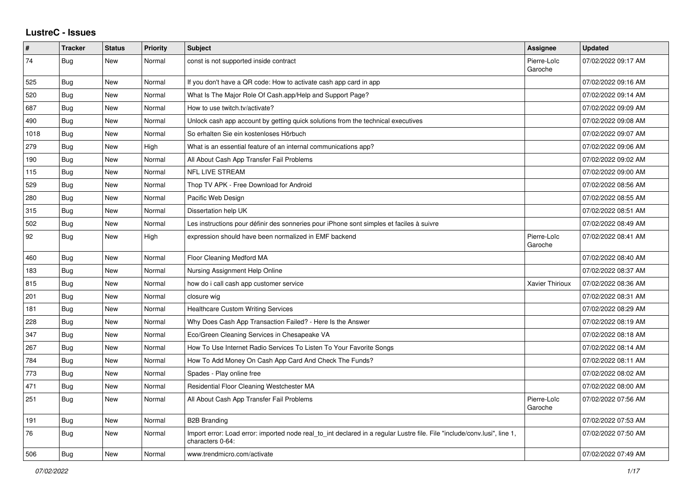## **LustreC - Issues**

| $\sharp$ | <b>Tracker</b> | <b>Status</b> | <b>Priority</b> | <b>Subject</b>                                                                                                                               | <b>Assignee</b>        | <b>Updated</b>      |
|----------|----------------|---------------|-----------------|----------------------------------------------------------------------------------------------------------------------------------------------|------------------------|---------------------|
| 74       | <b>Bug</b>     | New           | Normal          | const is not supported inside contract                                                                                                       | Pierre-Loïc<br>Garoche | 07/02/2022 09:17 AM |
| 525      | Bug            | <b>New</b>    | Normal          | If you don't have a QR code: How to activate cash app card in app                                                                            |                        | 07/02/2022 09:16 AM |
| 520      | <b>Bug</b>     | New           | Normal          | What Is The Major Role Of Cash.app/Help and Support Page?                                                                                    |                        | 07/02/2022 09:14 AM |
| 687      | Bug            | <b>New</b>    | Normal          | How to use twitch.tv/activate?                                                                                                               |                        | 07/02/2022 09:09 AM |
| 490      | Bug            | <b>New</b>    | Normal          | Unlock cash app account by getting quick solutions from the technical executives                                                             |                        | 07/02/2022 09:08 AM |
| 1018     | Bug            | <b>New</b>    | Normal          | So erhalten Sie ein kostenloses Hörbuch                                                                                                      |                        | 07/02/2022 09:07 AM |
| 279      | Bug            | New           | High            | What is an essential feature of an internal communications app?                                                                              |                        | 07/02/2022 09:06 AM |
| 190      | Bug            | <b>New</b>    | Normal          | All About Cash App Transfer Fail Problems                                                                                                    |                        | 07/02/2022 09:02 AM |
| 115      | Bug            | <b>New</b>    | Normal          | <b>NFL LIVE STREAM</b>                                                                                                                       |                        | 07/02/2022 09:00 AM |
| 529      | Bug            | <b>New</b>    | Normal          | Thop TV APK - Free Download for Android                                                                                                      |                        | 07/02/2022 08:56 AM |
| 280      | Bug            | New           | Normal          | Pacific Web Design                                                                                                                           |                        | 07/02/2022 08:55 AM |
| 315      | Bug            | New           | Normal          | Dissertation help UK                                                                                                                         |                        | 07/02/2022 08:51 AM |
| 502      | Bug            | <b>New</b>    | Normal          | Les instructions pour définir des sonneries pour iPhone sont simples et faciles à suivre                                                     |                        | 07/02/2022 08:49 AM |
| 92       | Bug            | <b>New</b>    | High            | expression should have been normalized in EMF backend                                                                                        | Pierre-Loïc<br>Garoche | 07/02/2022 08:41 AM |
| 460      | <b>Bug</b>     | New           | Normal          | Floor Cleaning Medford MA                                                                                                                    |                        | 07/02/2022 08:40 AM |
| 183      | Bug            | New           | Normal          | Nursing Assignment Help Online                                                                                                               |                        | 07/02/2022 08:37 AM |
| 815      | <b>Bug</b>     | New           | Normal          | how do i call cash app customer service                                                                                                      | Xavier Thirioux        | 07/02/2022 08:36 AM |
| 201      | <b>Bug</b>     | <b>New</b>    | Normal          | closure wig                                                                                                                                  |                        | 07/02/2022 08:31 AM |
| 181      | Bug            | <b>New</b>    | Normal          | <b>Healthcare Custom Writing Services</b>                                                                                                    |                        | 07/02/2022 08:29 AM |
| 228      | <b>Bug</b>     | <b>New</b>    | Normal          | Why Does Cash App Transaction Failed? - Here Is the Answer                                                                                   |                        | 07/02/2022 08:19 AM |
| 347      | Bug            | <b>New</b>    | Normal          | Eco/Green Cleaning Services in Chesapeake VA                                                                                                 |                        | 07/02/2022 08:18 AM |
| 267      | <b>Bug</b>     | New           | Normal          | How To Use Internet Radio Services To Listen To Your Favorite Songs                                                                          |                        | 07/02/2022 08:14 AM |
| 784      | <b>Bug</b>     | <b>New</b>    | Normal          | How To Add Money On Cash App Card And Check The Funds?                                                                                       |                        | 07/02/2022 08:11 AM |
| 773      | <b>Bug</b>     | New           | Normal          | Spades - Play online free                                                                                                                    |                        | 07/02/2022 08:02 AM |
| 471      | Bug            | <b>New</b>    | Normal          | Residential Floor Cleaning Westchester MA                                                                                                    |                        | 07/02/2022 08:00 AM |
| 251      | <b>Bug</b>     | <b>New</b>    | Normal          | All About Cash App Transfer Fail Problems                                                                                                    | Pierre-Loïc<br>Garoche | 07/02/2022 07:56 AM |
| 191      | Bug            | New           | Normal          | <b>B2B Branding</b>                                                                                                                          |                        | 07/02/2022 07:53 AM |
| 76       | Bug            | New           | Normal          | Import error: Load error: imported node real to int declared in a regular Lustre file. File "include/conv.lusi", line 1,<br>characters 0-64: |                        | 07/02/2022 07:50 AM |
| 506      | Bug            | New           | Normal          | www.trendmicro.com/activate                                                                                                                  |                        | 07/02/2022 07:49 AM |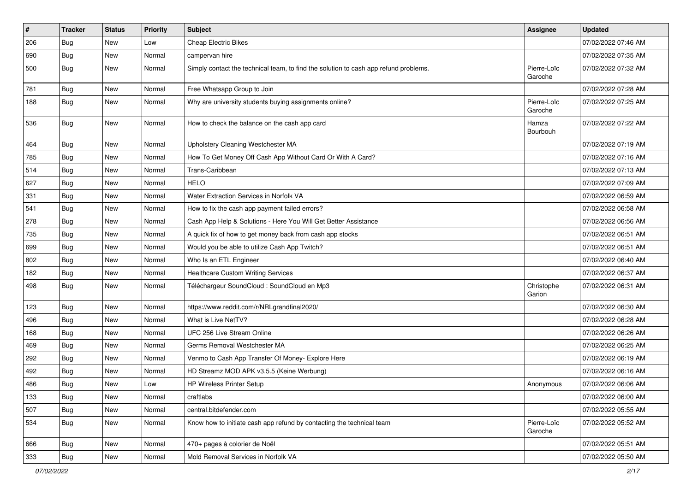| #   | <b>Tracker</b> | <b>Status</b> | <b>Priority</b> | <b>Subject</b>                                                                       | Assignee               | <b>Updated</b>      |
|-----|----------------|---------------|-----------------|--------------------------------------------------------------------------------------|------------------------|---------------------|
| 206 | <b>Bug</b>     | New           | Low             | <b>Cheap Electric Bikes</b>                                                          |                        | 07/02/2022 07:46 AM |
| 690 | Bug            | <b>New</b>    | Normal          | campervan hire                                                                       |                        | 07/02/2022 07:35 AM |
| 500 | Bug            | New           | Normal          | Simply contact the technical team, to find the solution to cash app refund problems. | Pierre-Loïc<br>Garoche | 07/02/2022 07:32 AM |
| 781 | <b>Bug</b>     | <b>New</b>    | Normal          | Free Whatsapp Group to Join                                                          |                        | 07/02/2022 07:28 AM |
| 188 | <b>Bug</b>     | New           | Normal          | Why are university students buying assignments online?                               | Pierre-Loïc<br>Garoche | 07/02/2022 07:25 AM |
| 536 | <b>Bug</b>     | <b>New</b>    | Normal          | How to check the balance on the cash app card                                        | Hamza<br>Bourbouh      | 07/02/2022 07:22 AM |
| 464 | <b>Bug</b>     | New           | Normal          | Upholstery Cleaning Westchester MA                                                   |                        | 07/02/2022 07:19 AM |
| 785 | Bug            | New           | Normal          | How To Get Money Off Cash App Without Card Or With A Card?                           |                        | 07/02/2022 07:16 AM |
| 514 | <b>Bug</b>     | New           | Normal          | Trans-Caribbean                                                                      |                        | 07/02/2022 07:13 AM |
| 627 | <b>Bug</b>     | New           | Normal          | <b>HELO</b>                                                                          |                        | 07/02/2022 07:09 AM |
| 331 | Bug            | New           | Normal          | Water Extraction Services in Norfolk VA                                              |                        | 07/02/2022 06:59 AM |
| 541 | <b>Bug</b>     | New           | Normal          | How to fix the cash app payment failed errors?                                       |                        | 07/02/2022 06:58 AM |
| 278 | <b>Bug</b>     | <b>New</b>    | Normal          | Cash App Help & Solutions - Here You Will Get Better Assistance                      |                        | 07/02/2022 06:56 AM |
| 735 | <b>Bug</b>     | New           | Normal          | A quick fix of how to get money back from cash app stocks                            |                        | 07/02/2022 06:51 AM |
| 699 | <b>Bug</b>     | New           | Normal          | Would you be able to utilize Cash App Twitch?                                        |                        | 07/02/2022 06:51 AM |
| 802 | <b>Bug</b>     | New           | Normal          | Who Is an ETL Engineer                                                               |                        | 07/02/2022 06:40 AM |
| 182 | <b>Bug</b>     | New           | Normal          | <b>Healthcare Custom Writing Services</b>                                            |                        | 07/02/2022 06:37 AM |
| 498 | Bug            | <b>New</b>    | Normal          | Téléchargeur SoundCloud : SoundCloud en Mp3                                          | Christophe<br>Garion   | 07/02/2022 06:31 AM |
| 123 | <b>Bug</b>     | New           | Normal          | https://www.reddit.com/r/NRLgrandfinal2020/                                          |                        | 07/02/2022 06:30 AM |
| 496 | <b>Bug</b>     | <b>New</b>    | Normal          | What is Live NetTV?                                                                  |                        | 07/02/2022 06:28 AM |
| 168 | <b>Bug</b>     | New           | Normal          | UFC 256 Live Stream Online                                                           |                        | 07/02/2022 06:26 AM |
| 469 | <b>Bug</b>     | New           | Normal          | Germs Removal Westchester MA                                                         |                        | 07/02/2022 06:25 AM |
| 292 | <b>Bug</b>     | New           | Normal          | Venmo to Cash App Transfer Of Money- Explore Here                                    |                        | 07/02/2022 06:19 AM |
| 492 | <b>Bug</b>     | New           | Normal          | HD Streamz MOD APK v3.5.5 (Keine Werbung)                                            |                        | 07/02/2022 06:16 AM |
| 486 | <b>Bug</b>     | <b>New</b>    | Low             | <b>HP Wireless Printer Setup</b>                                                     | Anonymous              | 07/02/2022 06:06 AM |
| 133 | Bug            | New           | Normal          | craftlabs                                                                            |                        | 07/02/2022 06:00 AM |
| 507 | <b>Bug</b>     | New           | Normal          | central.bitdefender.com                                                              |                        | 07/02/2022 05:55 AM |
| 534 | <b>Bug</b>     | New           | Normal          | Know how to initiate cash app refund by contacting the technical team                | Pierre-Loïc<br>Garoche | 07/02/2022 05:52 AM |
| 666 | Bug            | New           | Normal          | 470+ pages à colorier de Noël                                                        |                        | 07/02/2022 05:51 AM |
| 333 | <b>Bug</b>     | New           | Normal          | Mold Removal Services in Norfolk VA                                                  |                        | 07/02/2022 05:50 AM |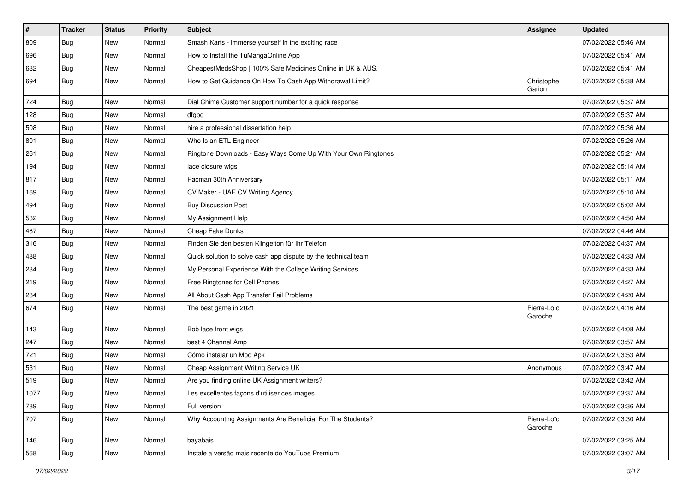| $\pmb{\#}$ | <b>Tracker</b> | <b>Status</b> | <b>Priority</b> | <b>Subject</b>                                                 | <b>Assignee</b>        | <b>Updated</b>      |
|------------|----------------|---------------|-----------------|----------------------------------------------------------------|------------------------|---------------------|
| 809        | <b>Bug</b>     | <b>New</b>    | Normal          | Smash Karts - immerse yourself in the exciting race            |                        | 07/02/2022 05:46 AM |
| 696        | <b>Bug</b>     | <b>New</b>    | Normal          | How to Install the TuMangaOnline App                           |                        | 07/02/2022 05:41 AM |
| 632        | <b>Bug</b>     | New           | Normal          | CheapestMedsShop   100% Safe Medicines Online in UK & AUS.     |                        | 07/02/2022 05:41 AM |
| 694        | Bug            | New           | Normal          | How to Get Guidance On How To Cash App Withdrawal Limit?       | Christophe<br>Garion   | 07/02/2022 05:38 AM |
| 724        | <b>Bug</b>     | <b>New</b>    | Normal          | Dial Chime Customer support number for a quick response        |                        | 07/02/2022 05:37 AM |
| 128        | <b>Bug</b>     | New           | Normal          | dfgbd                                                          |                        | 07/02/2022 05:37 AM |
| 508        | Bug            | New           | Normal          | hire a professional dissertation help                          |                        | 07/02/2022 05:36 AM |
| 801        | <b>Bug</b>     | New           | Normal          | Who Is an ETL Engineer                                         |                        | 07/02/2022 05:26 AM |
| 261        | Bug            | New           | Normal          | Ringtone Downloads - Easy Ways Come Up With Your Own Ringtones |                        | 07/02/2022 05:21 AM |
| 194        | <b>Bug</b>     | New           | Normal          | lace closure wigs                                              |                        | 07/02/2022 05:14 AM |
| 817        | <b>Bug</b>     | New           | Normal          | Pacman 30th Anniversary                                        |                        | 07/02/2022 05:11 AM |
| 169        | <b>Bug</b>     | New           | Normal          | CV Maker - UAE CV Writing Agency                               |                        | 07/02/2022 05:10 AM |
| 494        | <b>Bug</b>     | New           | Normal          | <b>Buy Discussion Post</b>                                     |                        | 07/02/2022 05:02 AM |
| 532        | Bug            | <b>New</b>    | Normal          | My Assignment Help                                             |                        | 07/02/2022 04:50 AM |
| 487        | <b>Bug</b>     | New           | Normal          | Cheap Fake Dunks                                               |                        | 07/02/2022 04:46 AM |
| 316        | Bug            | New           | Normal          | Finden Sie den besten Klingelton für Ihr Telefon               |                        | 07/02/2022 04:37 AM |
| 488        | Bug            | New           | Normal          | Quick solution to solve cash app dispute by the technical team |                        | 07/02/2022 04:33 AM |
| 234        | <b>Bug</b>     | New           | Normal          | My Personal Experience With the College Writing Services       |                        | 07/02/2022 04:33 AM |
| 219        | <b>Bug</b>     | New           | Normal          | Free Ringtones for Cell Phones.                                |                        | 07/02/2022 04:27 AM |
| 284        | Bug            | New           | Normal          | All About Cash App Transfer Fail Problems                      |                        | 07/02/2022 04:20 AM |
| 674        | <b>Bug</b>     | New           | Normal          | The best game in 2021                                          | Pierre-Loïc<br>Garoche | 07/02/2022 04:16 AM |
| 143        | <b>Bug</b>     | New           | Normal          | Bob lace front wigs                                            |                        | 07/02/2022 04:08 AM |
| 247        | <b>Bug</b>     | New           | Normal          | best 4 Channel Amp                                             |                        | 07/02/2022 03:57 AM |
| 721        | Bug            | New           | Normal          | Cómo instalar un Mod Apk                                       |                        | 07/02/2022 03:53 AM |
| 531        | <b>Bug</b>     | New           | Normal          | Cheap Assignment Writing Service UK                            | Anonymous              | 07/02/2022 03:47 AM |
| 519        | <b>Bug</b>     | New           | Normal          | Are you finding online UK Assignment writers?                  |                        | 07/02/2022 03:42 AM |
| 1077       | <b>Bug</b>     | New           | Normal          | Les excellentes façons d'utiliser ces images                   |                        | 07/02/2022 03:37 AM |
| 789        | Bug            | New           | Normal          | Full version                                                   |                        | 07/02/2022 03:36 AM |
| 707        | Bug            | New           | Normal          | Why Accounting Assignments Are Beneficial For The Students?    | Pierre-Loïc<br>Garoche | 07/02/2022 03:30 AM |
| 146        | Bug            | New           | Normal          | bayabais                                                       |                        | 07/02/2022 03:25 AM |
| 568        | <b>Bug</b>     | New           | Normal          | Instale a versão mais recente do YouTube Premium               |                        | 07/02/2022 03:07 AM |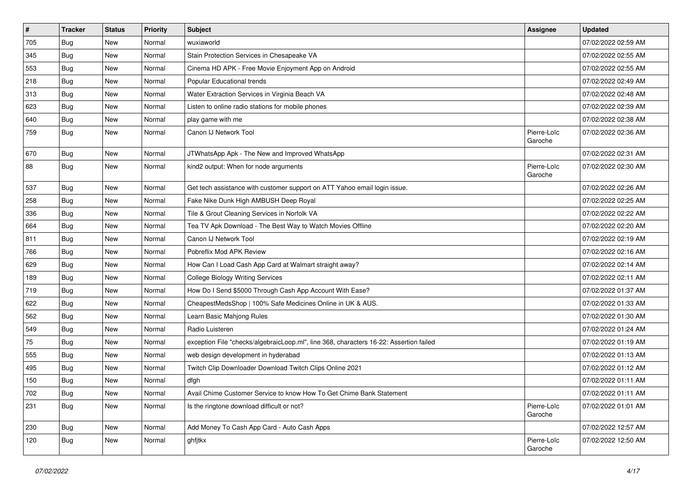| $\sharp$ | <b>Tracker</b> | <b>Status</b> | Priority | Subject                                                                                | <b>Assignee</b>        | <b>Updated</b>      |
|----------|----------------|---------------|----------|----------------------------------------------------------------------------------------|------------------------|---------------------|
| 705      | <b>Bug</b>     | New           | Normal   | wuxiaworld                                                                             |                        | 07/02/2022 02:59 AM |
| 345      | <b>Bug</b>     | <b>New</b>    | Normal   | Stain Protection Services in Chesapeake VA                                             |                        | 07/02/2022 02:55 AM |
| 553      | Bug            | New           | Normal   | Cinema HD APK - Free Movie Enjoyment App on Android                                    |                        | 07/02/2022 02:55 AM |
| 218      | Bug            | New           | Normal   | Popular Educational trends                                                             |                        | 07/02/2022 02:49 AM |
| 313      | Bug            | New           | Normal   | Water Extraction Services in Virginia Beach VA                                         |                        | 07/02/2022 02:48 AM |
| 623      | <b>Bug</b>     | New           | Normal   | Listen to online radio stations for mobile phones                                      |                        | 07/02/2022 02:39 AM |
| 640      | Bug            | <b>New</b>    | Normal   | play game with me                                                                      |                        | 07/02/2022 02:38 AM |
| 759      | Bug            | New           | Normal   | Canon IJ Network Tool                                                                  | Pierre-Loïc<br>Garoche | 07/02/2022 02:36 AM |
| 670      | Bug            | New           | Normal   | JTWhatsApp Apk - The New and Improved WhatsApp                                         |                        | 07/02/2022 02:31 AM |
| 88       | Bug            | New           | Normal   | kind2 output: When for node arguments                                                  | Pierre-Loïc<br>Garoche | 07/02/2022 02:30 AM |
| 537      | Bug            | New           | Normal   | Get tech assistance with customer support on ATT Yahoo email login issue.              |                        | 07/02/2022 02:26 AM |
| 258      | <b>Bug</b>     | New           | Normal   | Fake Nike Dunk High AMBUSH Deep Royal                                                  |                        | 07/02/2022 02:25 AM |
| 336      | Bug            | New           | Normal   | Tile & Grout Cleaning Services in Norfolk VA                                           |                        | 07/02/2022 02:22 AM |
| 664      | Bug            | New           | Normal   | Tea TV Apk Download - The Best Way to Watch Movies Offline                             |                        | 07/02/2022 02:20 AM |
| 811      | <b>Bug</b>     | New           | Normal   | Canon IJ Network Tool                                                                  |                        | 07/02/2022 02:19 AM |
| 766      | Bug            | New           | Normal   | Pobreflix Mod APK Review                                                               |                        | 07/02/2022 02:16 AM |
| 629      | <b>Bug</b>     | <b>New</b>    | Normal   | How Can I Load Cash App Card at Walmart straight away?                                 |                        | 07/02/2022 02:14 AM |
| 189      | <b>Bug</b>     | New           | Normal   | <b>College Biology Writing Services</b>                                                |                        | 07/02/2022 02:11 AM |
| 719      | <b>Bug</b>     | New           | Normal   | How Do I Send \$5000 Through Cash App Account With Ease?                               |                        | 07/02/2022 01:37 AM |
| 622      | Bug            | New           | Normal   | CheapestMedsShop   100% Safe Medicines Online in UK & AUS.                             |                        | 07/02/2022 01:33 AM |
| 562      | Bug            | <b>New</b>    | Normal   | Learn Basic Mahjong Rules                                                              |                        | 07/02/2022 01:30 AM |
| 549      | Bug            | New           | Normal   | Radio Luisteren                                                                        |                        | 07/02/2022 01:24 AM |
| 75       | Bug            | New           | Normal   | exception File "checks/algebraicLoop.ml", line 368, characters 16-22: Assertion failed |                        | 07/02/2022 01:19 AM |
| 555      | Bug            | New           | Normal   | web design development in hyderabad                                                    |                        | 07/02/2022 01:13 AM |
| 495      | <b>Bug</b>     | New           | Normal   | Twitch Clip Downloader Download Twitch Clips Online 2021                               |                        | 07/02/2022 01:12 AM |
| 150      | <b>Bug</b>     | <b>New</b>    | Normal   | dfgh                                                                                   |                        | 07/02/2022 01:11 AM |
| 702      | Bug            | New           | Normal   | Avail Chime Customer Service to know How To Get Chime Bank Statement                   |                        | 07/02/2022 01:11 AM |
| 231      | <b>Bug</b>     | New           | Normal   | Is the ringtone download difficult or not?                                             | Pierre-Loïc<br>Garoche | 07/02/2022 01:01 AM |
| 230      | Bug            | New           | Normal   | Add Money To Cash App Card - Auto Cash Apps                                            |                        | 07/02/2022 12:57 AM |
| 120      | Bug            | New           | Normal   | ghfjtkx                                                                                | Pierre-Loïc<br>Garoche | 07/02/2022 12:50 AM |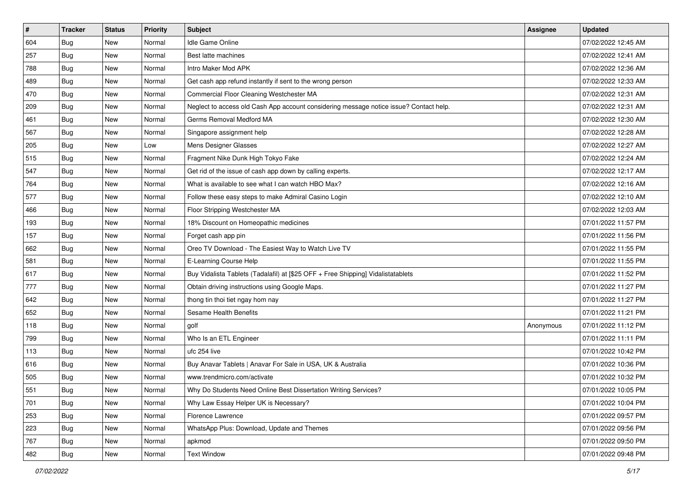| $\sharp$ | <b>Tracker</b> | <b>Status</b> | <b>Priority</b> | Subject                                                                                | <b>Assignee</b> | <b>Updated</b>      |
|----------|----------------|---------------|-----------------|----------------------------------------------------------------------------------------|-----------------|---------------------|
| 604      | <b>Bug</b>     | New           | Normal          | <b>Idle Game Online</b>                                                                |                 | 07/02/2022 12:45 AM |
| 257      | Bug            | New           | Normal          | Best latte machines                                                                    |                 | 07/02/2022 12:41 AM |
| 788      | Bug            | New           | Normal          | Intro Maker Mod APK                                                                    |                 | 07/02/2022 12:36 AM |
| 489      | <b>Bug</b>     | <b>New</b>    | Normal          | Get cash app refund instantly if sent to the wrong person                              |                 | 07/02/2022 12:33 AM |
| 470      | Bug            | New           | Normal          | Commercial Floor Cleaning Westchester MA                                               |                 | 07/02/2022 12:31 AM |
| 209      | <b>Bug</b>     | New           | Normal          | Neglect to access old Cash App account considering message notice issue? Contact help. |                 | 07/02/2022 12:31 AM |
| 461      | Bug            | New           | Normal          | Germs Removal Medford MA                                                               |                 | 07/02/2022 12:30 AM |
| 567      | <b>Bug</b>     | New           | Normal          | Singapore assignment help                                                              |                 | 07/02/2022 12:28 AM |
| 205      | <b>Bug</b>     | New           | Low             | Mens Designer Glasses                                                                  |                 | 07/02/2022 12:27 AM |
| 515      | Bug            | New           | Normal          | Fragment Nike Dunk High Tokyo Fake                                                     |                 | 07/02/2022 12:24 AM |
| 547      | <b>Bug</b>     | New           | Normal          | Get rid of the issue of cash app down by calling experts.                              |                 | 07/02/2022 12:17 AM |
| 764      | Bug            | New           | Normal          | What is available to see what I can watch HBO Max?                                     |                 | 07/02/2022 12:16 AM |
| 577      | Bug            | New           | Normal          | Follow these easy steps to make Admiral Casino Login                                   |                 | 07/02/2022 12:10 AM |
| 466      | <b>Bug</b>     | New           | Normal          | Floor Stripping Westchester MA                                                         |                 | 07/02/2022 12:03 AM |
| 193      | <b>Bug</b>     | <b>New</b>    | Normal          | 18% Discount on Homeopathic medicines                                                  |                 | 07/01/2022 11:57 PM |
| 157      | Bug            | New           | Normal          | Forget cash app pin                                                                    |                 | 07/01/2022 11:56 PM |
| 662      | <b>Bug</b>     | New           | Normal          | Oreo TV Download - The Easiest Way to Watch Live TV                                    |                 | 07/01/2022 11:55 PM |
| 581      | Bug            | New           | Normal          | E-Learning Course Help                                                                 |                 | 07/01/2022 11:55 PM |
| 617      | <b>Bug</b>     | New           | Normal          | Buy Vidalista Tablets (Tadalafil) at [\$25 OFF + Free Shipping] Vidalistatablets       |                 | 07/01/2022 11:52 PM |
| 777      | <b>Bug</b>     | New           | Normal          | Obtain driving instructions using Google Maps.                                         |                 | 07/01/2022 11:27 PM |
| 642      | Bug            | New           | Normal          | thong tin thoi tiet ngay hom nay                                                       |                 | 07/01/2022 11:27 PM |
| 652      | Bug            | New           | Normal          | Sesame Health Benefits                                                                 |                 | 07/01/2022 11:21 PM |
| 118      | Bug            | New           | Normal          | golf                                                                                   | Anonymous       | 07/01/2022 11:12 PM |
| 799      | <b>Bug</b>     | New           | Normal          | Who Is an ETL Engineer                                                                 |                 | 07/01/2022 11:11 PM |
| 113      | Bug            | New           | Normal          | ufc 254 live                                                                           |                 | 07/01/2022 10:42 PM |
| 616      | Bug            | New           | Normal          | Buy Anavar Tablets   Anavar For Sale in USA, UK & Australia                            |                 | 07/01/2022 10:36 PM |
| 505      | <b>Bug</b>     | New           | Normal          | www.trendmicro.com/activate                                                            |                 | 07/01/2022 10:32 PM |
| 551      | I Bug          | New           | Normal          | Why Do Students Need Online Best Dissertation Writing Services?                        |                 | 07/01/2022 10:05 PM |
| 701      | Bug            | New           | Normal          | Why Law Essay Helper UK is Necessary?                                                  |                 | 07/01/2022 10:04 PM |
| 253      | Bug            | New           | Normal          | Florence Lawrence                                                                      |                 | 07/01/2022 09:57 PM |
| 223      | Bug            | New           | Normal          | WhatsApp Plus: Download, Update and Themes                                             |                 | 07/01/2022 09:56 PM |
| 767      | Bug            | New           | Normal          | apkmod                                                                                 |                 | 07/01/2022 09:50 PM |
| 482      | <b>Bug</b>     | New           | Normal          | <b>Text Window</b>                                                                     |                 | 07/01/2022 09:48 PM |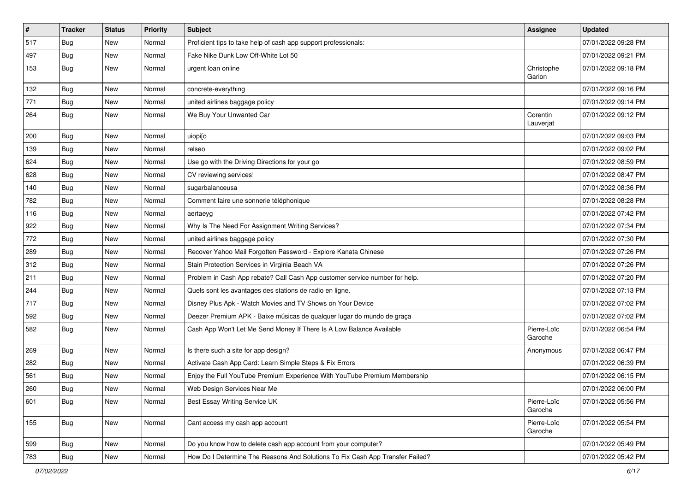| $\vert$ # | <b>Tracker</b> | <b>Status</b> | <b>Priority</b> | <b>Subject</b>                                                                | <b>Assignee</b>        | <b>Updated</b>      |
|-----------|----------------|---------------|-----------------|-------------------------------------------------------------------------------|------------------------|---------------------|
| 517       | <b>Bug</b>     | New           | Normal          | Proficient tips to take help of cash app support professionals:               |                        | 07/01/2022 09:28 PM |
| 497       | Bug            | <b>New</b>    | Normal          | Fake Nike Dunk Low Off-White Lot 50                                           |                        | 07/01/2022 09:21 PM |
| 153       | Bug            | New           | Normal          | urgent loan online                                                            | Christophe<br>Garion   | 07/01/2022 09:18 PM |
| 132       | Bug            | <b>New</b>    | Normal          | concrete-everything                                                           |                        | 07/01/2022 09:16 PM |
| 771       | <b>Bug</b>     | New           | Normal          | united airlines baggage policy                                                |                        | 07/01/2022 09:14 PM |
| 264       | <b>Bug</b>     | New           | Normal          | We Buy Your Unwanted Car                                                      | Corentin<br>Lauverjat  | 07/01/2022 09:12 PM |
| 200       | Bug            | New           | Normal          | uiopi[o                                                                       |                        | 07/01/2022 09:03 PM |
| 139       | Bug            | New           | Normal          | relseo                                                                        |                        | 07/01/2022 09:02 PM |
| 624       | <b>Bug</b>     | New           | Normal          | Use go with the Driving Directions for your go                                |                        | 07/01/2022 08:59 PM |
| 628       | <b>Bug</b>     | New           | Normal          | CV reviewing services!                                                        |                        | 07/01/2022 08:47 PM |
| 140       | <b>Bug</b>     | New           | Normal          | sugarbalanceusa                                                               |                        | 07/01/2022 08:36 PM |
| 782       | <b>Bug</b>     | New           | Normal          | Comment faire une sonnerie téléphonique                                       |                        | 07/01/2022 08:28 PM |
| 116       | <b>Bug</b>     | New           | Normal          | aertaeyg                                                                      |                        | 07/01/2022 07:42 PM |
| 922       | Bug            | New           | Normal          | Why Is The Need For Assignment Writing Services?                              |                        | 07/01/2022 07:34 PM |
| 772       | <b>Bug</b>     | New           | Normal          | united airlines baggage policy                                                |                        | 07/01/2022 07:30 PM |
| 289       | <b>Bug</b>     | <b>New</b>    | Normal          | Recover Yahoo Mail Forgotten Password - Explore Kanata Chinese                |                        | 07/01/2022 07:26 PM |
| 312       | <b>Bug</b>     | New           | Normal          | Stain Protection Services in Virginia Beach VA                                |                        | 07/01/2022 07:26 PM |
| 211       | <b>Bug</b>     | New           | Normal          | Problem in Cash App rebate? Call Cash App customer service number for help.   |                        | 07/01/2022 07:20 PM |
| 244       | <b>Bug</b>     | New           | Normal          | Quels sont les avantages des stations de radio en ligne.                      |                        | 07/01/2022 07:13 PM |
| 717       | <b>Bug</b>     | New           | Normal          | Disney Plus Apk - Watch Movies and TV Shows on Your Device                    |                        | 07/01/2022 07:02 PM |
| 592       | Bug            | <b>New</b>    | Normal          | Deezer Premium APK - Baixe músicas de qualquer lugar do mundo de graça        |                        | 07/01/2022 07:02 PM |
| 582       | <b>Bug</b>     | New           | Normal          | Cash App Won't Let Me Send Money If There Is A Low Balance Available          | Pierre-Loïc<br>Garoche | 07/01/2022 06:54 PM |
| 269       | <b>Bug</b>     | <b>New</b>    | Normal          | Is there such a site for app design?                                          | Anonymous              | 07/01/2022 06:47 PM |
| 282       | Bug            | New           | Normal          | Activate Cash App Card: Learn Simple Steps & Fix Errors                       |                        | 07/01/2022 06:39 PM |
| 561       | <b>Bug</b>     | New           | Normal          | Enjoy the Full YouTube Premium Experience With YouTube Premium Membership     |                        | 07/01/2022 06:15 PM |
| 260       | <b>Bug</b>     | New           | Normal          | Web Design Services Near Me                                                   |                        | 07/01/2022 06:00 PM |
| 601       | <b>Bug</b>     | New           | Normal          | Best Essay Writing Service UK                                                 | Pierre-Loïc<br>Garoche | 07/01/2022 05:56 PM |
| 155       | Bug            | New           | Normal          | Cant access my cash app account                                               | Pierre-Loïc<br>Garoche | 07/01/2022 05:54 PM |
| 599       | <b>Bug</b>     | New           | Normal          | Do you know how to delete cash app account from your computer?                |                        | 07/01/2022 05:49 PM |
| 783       | <b>Bug</b>     | New           | Normal          | How Do I Determine The Reasons And Solutions To Fix Cash App Transfer Failed? |                        | 07/01/2022 05:42 PM |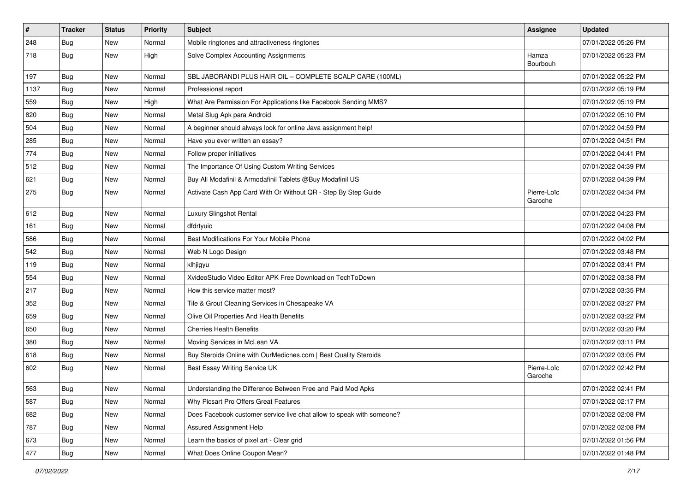| $\vert$ # | <b>Tracker</b> | <b>Status</b> | Priority | <b>Subject</b>                                                        | <b>Assignee</b>        | <b>Updated</b>      |
|-----------|----------------|---------------|----------|-----------------------------------------------------------------------|------------------------|---------------------|
| 248       | <b>Bug</b>     | New           | Normal   | Mobile ringtones and attractiveness ringtones                         |                        | 07/01/2022 05:26 PM |
| 718       | <b>Bug</b>     | New           | High     | Solve Complex Accounting Assignments                                  | Hamza<br>Bourbouh      | 07/01/2022 05:23 PM |
| 197       | <b>Bug</b>     | New           | Normal   | SBL JABORANDI PLUS HAIR OIL - COMPLETE SCALP CARE (100ML)             |                        | 07/01/2022 05:22 PM |
| 1137      | Bug            | <b>New</b>    | Normal   | Professional report                                                   |                        | 07/01/2022 05:19 PM |
| 559       | Bug            | New           | High     | What Are Permission For Applications like Facebook Sending MMS?       |                        | 07/01/2022 05:19 PM |
| 820       | Bug            | New           | Normal   | Metal Slug Apk para Android                                           |                        | 07/01/2022 05:10 PM |
| 504       | <b>Bug</b>     | New           | Normal   | A beginner should always look for online Java assignment help!        |                        | 07/01/2022 04:59 PM |
| 285       | <b>Bug</b>     | New           | Normal   | Have you ever written an essay?                                       |                        | 07/01/2022 04:51 PM |
| 774       | <b>Bug</b>     | New           | Normal   | Follow proper initiatives                                             |                        | 07/01/2022 04:41 PM |
| 512       | Bug            | New           | Normal   | The Importance Of Using Custom Writing Services                       |                        | 07/01/2022 04:39 PM |
| 621       | <b>Bug</b>     | New           | Normal   | Buy All Modafinil & Armodafinil Tablets @Buy Modafinil US             |                        | 07/01/2022 04:39 PM |
| 275       | Bug            | <b>New</b>    | Normal   | Activate Cash App Card With Or Without QR - Step By Step Guide        | Pierre-Loïc<br>Garoche | 07/01/2022 04:34 PM |
| 612       | <b>Bug</b>     | <b>New</b>    | Normal   | Luxury Slingshot Rental                                               |                        | 07/01/2022 04:23 PM |
| 161       | Bug            | New           | Normal   | dfdrtyuio                                                             |                        | 07/01/2022 04:08 PM |
| 586       | <b>Bug</b>     | New           | Normal   | Best Modifications For Your Mobile Phone                              |                        | 07/01/2022 04:02 PM |
| 542       | Bug            | <b>New</b>    | Normal   | Web N Logo Design                                                     |                        | 07/01/2022 03:48 PM |
| 119       | <b>Bug</b>     | New           | Normal   | klhjigyu                                                              |                        | 07/01/2022 03:41 PM |
| 554       | <b>Bug</b>     | New           | Normal   | XvideoStudio Video Editor APK Free Download on TechToDown             |                        | 07/01/2022 03:38 PM |
| 217       | <b>Bug</b>     | <b>New</b>    | Normal   | How this service matter most?                                         |                        | 07/01/2022 03:35 PM |
| 352       | Bug            | New           | Normal   | Tile & Grout Cleaning Services in Chesapeake VA                       |                        | 07/01/2022 03:27 PM |
| 659       | <b>Bug</b>     | New           | Normal   | Olive Oil Properties And Health Benefits                              |                        | 07/01/2022 03:22 PM |
| 650       | Bug            | New           | Normal   | <b>Cherries Health Benefits</b>                                       |                        | 07/01/2022 03:20 PM |
| 380       | <b>Bug</b>     | New           | Normal   | Moving Services in McLean VA                                          |                        | 07/01/2022 03:11 PM |
| 618       | Bug            | <b>New</b>    | Normal   | Buy Steroids Online with OurMedicnes.com   Best Quality Steroids      |                        | 07/01/2022 03:05 PM |
| 602       | <b>Bug</b>     | New           | Normal   | Best Essay Writing Service UK                                         | Pierre-Loïc<br>Garoche | 07/01/2022 02:42 PM |
| 563       | <b>Bug</b>     | New           | Normal   | Understanding the Difference Between Free and Paid Mod Apks           |                        | 07/01/2022 02:41 PM |
| 587       | <b>Bug</b>     | New           | Normal   | Why Picsart Pro Offers Great Features                                 |                        | 07/01/2022 02:17 PM |
| 682       | <b>Bug</b>     | New           | Normal   | Does Facebook customer service live chat allow to speak with someone? |                        | 07/01/2022 02:08 PM |
| 787       | Bug            | New           | Normal   | Assured Assignment Help                                               |                        | 07/01/2022 02:08 PM |
| 673       | Bug            | New           | Normal   | Learn the basics of pixel art - Clear grid                            |                        | 07/01/2022 01:56 PM |
| 477       | Bug            | New           | Normal   | What Does Online Coupon Mean?                                         |                        | 07/01/2022 01:48 PM |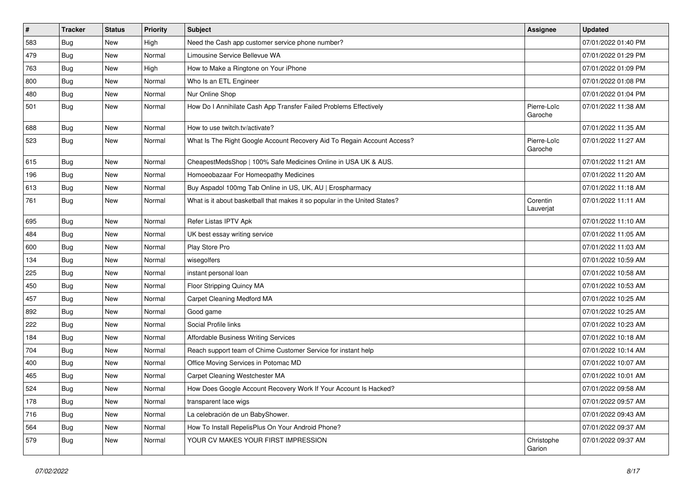| $\vert$ # | <b>Tracker</b> | <b>Status</b> | <b>Priority</b> | <b>Subject</b>                                                             | <b>Assignee</b>        | <b>Updated</b>      |
|-----------|----------------|---------------|-----------------|----------------------------------------------------------------------------|------------------------|---------------------|
| 583       | <b>Bug</b>     | New           | High            | Need the Cash app customer service phone number?                           |                        | 07/01/2022 01:40 PM |
| 479       | <b>Bug</b>     | New           | Normal          | Limousine Service Bellevue WA                                              |                        | 07/01/2022 01:29 PM |
| 763       | <b>Bug</b>     | New           | High            | How to Make a Ringtone on Your iPhone                                      |                        | 07/01/2022 01:09 PM |
| 800       | Bug            | New           | Normal          | Who Is an ETL Engineer                                                     |                        | 07/01/2022 01:08 PM |
| 480       | <b>Bug</b>     | New           | Normal          | Nur Online Shop                                                            |                        | 07/01/2022 01:04 PM |
| 501       | <b>Bug</b>     | New           | Normal          | How Do I Annihilate Cash App Transfer Failed Problems Effectively          | Pierre-Loïc<br>Garoche | 07/01/2022 11:38 AM |
| 688       | Bug            | New           | Normal          | How to use twitch.tv/activate?                                             |                        | 07/01/2022 11:35 AM |
| 523       | <b>Bug</b>     | New           | Normal          | What Is The Right Google Account Recovery Aid To Regain Account Access?    | Pierre-Loïc<br>Garoche | 07/01/2022 11:27 AM |
| 615       | Bug            | New           | Normal          | CheapestMedsShop   100% Safe Medicines Online in USA UK & AUS.             |                        | 07/01/2022 11:21 AM |
| 196       | <b>Bug</b>     | New           | Normal          | Homoeobazaar For Homeopathy Medicines                                      |                        | 07/01/2022 11:20 AM |
| 613       | <b>Bug</b>     | New           | Normal          | Buy Aspadol 100mg Tab Online in US, UK, AU   Erospharmacy                  |                        | 07/01/2022 11:18 AM |
| 761       | Bug            | New           | Normal          | What is it about basketball that makes it so popular in the United States? | Corentin<br>Lauverjat  | 07/01/2022 11:11 AM |
| 695       | Bug            | New           | Normal          | Refer Listas IPTV Apk                                                      |                        | 07/01/2022 11:10 AM |
| 484       | <b>Bug</b>     | New           | Normal          | UK best essay writing service                                              |                        | 07/01/2022 11:05 AM |
| 600       | Bug            | New           | Normal          | Play Store Pro                                                             |                        | 07/01/2022 11:03 AM |
| 134       | <b>Bug</b>     | New           | Normal          | wisegolfers                                                                |                        | 07/01/2022 10:59 AM |
| 225       | Bug            | New           | Normal          | instant personal loan                                                      |                        | 07/01/2022 10:58 AM |
| 450       | <b>Bug</b>     | New           | Normal          | Floor Stripping Quincy MA                                                  |                        | 07/01/2022 10:53 AM |
| 457       | <b>Bug</b>     | New           | Normal          | Carpet Cleaning Medford MA                                                 |                        | 07/01/2022 10:25 AM |
| 892       | Bug            | New           | Normal          | Good game                                                                  |                        | 07/01/2022 10:25 AM |
| 222       | <b>Bug</b>     | New           | Normal          | Social Profile links                                                       |                        | 07/01/2022 10:23 AM |
| 184       | <b>Bug</b>     | New           | Normal          | Affordable Business Writing Services                                       |                        | 07/01/2022 10:18 AM |
| 704       | <b>Bug</b>     | New           | Normal          | Reach support team of Chime Customer Service for instant help              |                        | 07/01/2022 10:14 AM |
| 400       | Bug            | New           | Normal          | Office Moving Services in Potomac MD                                       |                        | 07/01/2022 10:07 AM |
| 465       | <b>Bug</b>     | New           | Normal          | Carpet Cleaning Westchester MA                                             |                        | 07/01/2022 10:01 AM |
| 524       | Bug            | New           | Normal          | How Does Google Account Recovery Work If Your Account Is Hacked?           |                        | 07/01/2022 09:58 AM |
| 178       | <b>Bug</b>     | New           | Normal          | transparent lace wigs                                                      |                        | 07/01/2022 09:57 AM |
| 716       | Bug            | New           | Normal          | La celebración de un BabyShower.                                           |                        | 07/01/2022 09:43 AM |
| 564       | <b>Bug</b>     | New           | Normal          | How To Install RepelisPlus On Your Android Phone?                          |                        | 07/01/2022 09:37 AM |
| 579       | <b>Bug</b>     | New           | Normal          | YOUR CV MAKES YOUR FIRST IMPRESSION                                        | Christophe<br>Garion   | 07/01/2022 09:37 AM |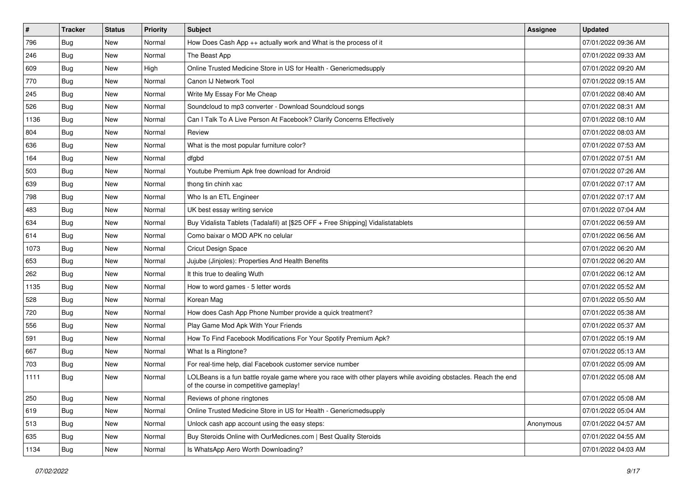| $\vert$ # | <b>Tracker</b> | <b>Status</b> | <b>Priority</b> | <b>Subject</b>                                                                                                                                           | <b>Assignee</b> | <b>Updated</b>      |
|-----------|----------------|---------------|-----------------|----------------------------------------------------------------------------------------------------------------------------------------------------------|-----------------|---------------------|
| 796       | <b>Bug</b>     | New           | Normal          | How Does Cash App $++$ actually work and What is the process of it                                                                                       |                 | 07/01/2022 09:36 AM |
| 246       | <b>Bug</b>     | New           | Normal          | The Beast App                                                                                                                                            |                 | 07/01/2022 09:33 AM |
| 609       | <b>Bug</b>     | New           | High            | Online Trusted Medicine Store in US for Health - Genericmedsupply                                                                                        |                 | 07/01/2022 09:20 AM |
| 770       | <b>Bug</b>     | New           | Normal          | Canon IJ Network Tool                                                                                                                                    |                 | 07/01/2022 09:15 AM |
| 245       | <b>Bug</b>     | <b>New</b>    | Normal          | Write My Essay For Me Cheap                                                                                                                              |                 | 07/01/2022 08:40 AM |
| 526       | <b>Bug</b>     | New           | Normal          | Soundcloud to mp3 converter - Download Soundcloud songs                                                                                                  |                 | 07/01/2022 08:31 AM |
| 1136      | Bug            | New           | Normal          | Can I Talk To A Live Person At Facebook? Clarify Concerns Effectively                                                                                    |                 | 07/01/2022 08:10 AM |
| 804       | <b>Bug</b>     | New           | Normal          | Review                                                                                                                                                   |                 | 07/01/2022 08:03 AM |
| 636       | <b>Bug</b>     | New           | Normal          | What is the most popular furniture color?                                                                                                                |                 | 07/01/2022 07:53 AM |
| 164       | Bug            | <b>New</b>    | Normal          | dfgbd                                                                                                                                                    |                 | 07/01/2022 07:51 AM |
| 503       | <b>Bug</b>     | New           | Normal          | Youtube Premium Apk free download for Android                                                                                                            |                 | 07/01/2022 07:26 AM |
| 639       | Bug            | New           | Normal          | thong tin chinh xac                                                                                                                                      |                 | 07/01/2022 07:17 AM |
| 798       | Bug            | New           | Normal          | Who Is an ETL Engineer                                                                                                                                   |                 | 07/01/2022 07:17 AM |
| 483       | <b>Bug</b>     | New           | Normal          | UK best essay writing service                                                                                                                            |                 | 07/01/2022 07:04 AM |
| 634       | <b>Bug</b>     | New           | Normal          | Buy Vidalista Tablets (Tadalafil) at [\$25 OFF + Free Shipping] Vidalistatablets                                                                         |                 | 07/01/2022 06:59 AM |
| 614       | Bug            | New           | Normal          | Como baixar o MOD APK no celular                                                                                                                         |                 | 07/01/2022 06:56 AM |
| 1073      | <b>Bug</b>     | New           | Normal          | <b>Cricut Design Space</b>                                                                                                                               |                 | 07/01/2022 06:20 AM |
| 653       | Bug            | New           | Normal          | Jujube (Jinjoles): Properties And Health Benefits                                                                                                        |                 | 07/01/2022 06:20 AM |
| 262       | Bug            | New           | Normal          | It this true to dealing Wuth                                                                                                                             |                 | 07/01/2022 06:12 AM |
| 1135      | <b>Bug</b>     | New           | Normal          | How to word games - 5 letter words                                                                                                                       |                 | 07/01/2022 05:52 AM |
| 528       | <b>Bug</b>     | New           | Normal          | Korean Mag                                                                                                                                               |                 | 07/01/2022 05:50 AM |
| 720       | <b>Bug</b>     | New           | Normal          | How does Cash App Phone Number provide a quick treatment?                                                                                                |                 | 07/01/2022 05:38 AM |
| 556       | Bug            | <b>New</b>    | Normal          | Play Game Mod Apk With Your Friends                                                                                                                      |                 | 07/01/2022 05:37 AM |
| 591       | <b>Bug</b>     | New           | Normal          | How To Find Facebook Modifications For Your Spotify Premium Apk?                                                                                         |                 | 07/01/2022 05:19 AM |
| 667       | <b>Bug</b>     | New           | Normal          | What Is a Ringtone?                                                                                                                                      |                 | 07/01/2022 05:13 AM |
| 703       | <b>Bug</b>     | New           | Normal          | For real-time help, dial Facebook customer service number                                                                                                |                 | 07/01/2022 05:09 AM |
| 1111      | <b>Bug</b>     | New           | Normal          | LOLBeans is a fun battle royale game where you race with other players while avoiding obstacles. Reach the end<br>of the course in competitive gameplay! |                 | 07/01/2022 05:08 AM |
| 250       | Bug            | New           | Normal          | Reviews of phone ringtones                                                                                                                               |                 | 07/01/2022 05:08 AM |
| 619       | <b>Bug</b>     | New           | Normal          | Online Trusted Medicine Store in US for Health - Genericmedsupply                                                                                        |                 | 07/01/2022 05:04 AM |
| 513       | Bug            | New           | Normal          | Unlock cash app account using the easy steps:                                                                                                            | Anonymous       | 07/01/2022 04:57 AM |
| 635       | <b>Bug</b>     | New           | Normal          | Buy Steroids Online with OurMedicnes.com   Best Quality Steroids                                                                                         |                 | 07/01/2022 04:55 AM |
| 1134      | <b>Bug</b>     | New           | Normal          | Is WhatsApp Aero Worth Downloading?                                                                                                                      |                 | 07/01/2022 04:03 AM |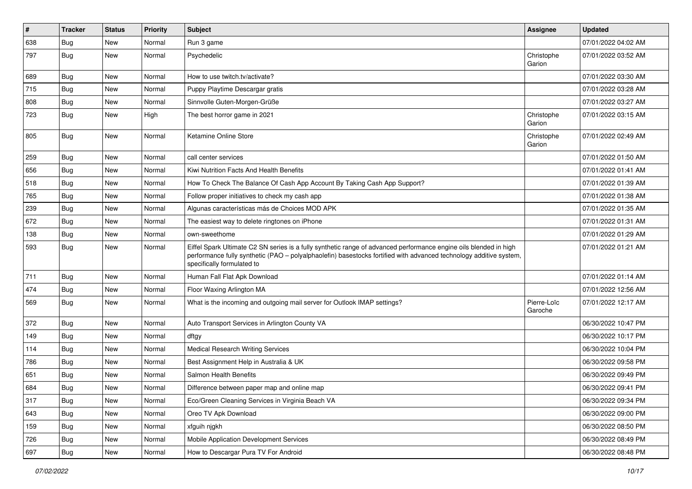| $\vert$ # | <b>Tracker</b> | <b>Status</b> | <b>Priority</b> | <b>Subject</b>                                                                                                                                                                                                                                                        | Assignee               | <b>Updated</b>      |
|-----------|----------------|---------------|-----------------|-----------------------------------------------------------------------------------------------------------------------------------------------------------------------------------------------------------------------------------------------------------------------|------------------------|---------------------|
| 638       | <b>Bug</b>     | New           | Normal          | Run 3 game                                                                                                                                                                                                                                                            |                        | 07/01/2022 04:02 AM |
| 797       | <b>Bug</b>     | New           | Normal          | Psychedelic                                                                                                                                                                                                                                                           | Christophe<br>Garion   | 07/01/2022 03:52 AM |
| 689       | <b>Bug</b>     | New           | Normal          | How to use twitch.tv/activate?                                                                                                                                                                                                                                        |                        | 07/01/2022 03:30 AM |
| 715       | Bug            | New           | Normal          | Puppy Playtime Descargar gratis                                                                                                                                                                                                                                       |                        | 07/01/2022 03:28 AM |
| 808       | <b>Bug</b>     | New           | Normal          | Sinnvolle Guten-Morgen-Grüße                                                                                                                                                                                                                                          |                        | 07/01/2022 03:27 AM |
| 723       | Bug            | New           | High            | The best horror game in 2021                                                                                                                                                                                                                                          | Christophe<br>Garion   | 07/01/2022 03:15 AM |
| 805       | <b>Bug</b>     | New           | Normal          | Ketamine Online Store                                                                                                                                                                                                                                                 | Christophe<br>Garion   | 07/01/2022 02:49 AM |
| 259       | <b>Bug</b>     | New           | Normal          | call center services                                                                                                                                                                                                                                                  |                        | 07/01/2022 01:50 AM |
| 656       | <b>Bug</b>     | New           | Normal          | Kiwi Nutrition Facts And Health Benefits                                                                                                                                                                                                                              |                        | 07/01/2022 01:41 AM |
| 518       | <b>Bug</b>     | New           | Normal          | How To Check The Balance Of Cash App Account By Taking Cash App Support?                                                                                                                                                                                              |                        | 07/01/2022 01:39 AM |
| 765       | <b>Bug</b>     | New           | Normal          | Follow proper initiatives to check my cash app                                                                                                                                                                                                                        |                        | 07/01/2022 01:38 AM |
| 239       | <b>Bug</b>     | New           | Normal          | Algunas características más de Choices MOD APK                                                                                                                                                                                                                        |                        | 07/01/2022 01:35 AM |
| 672       | <b>Bug</b>     | <b>New</b>    | Normal          | The easiest way to delete ringtones on iPhone                                                                                                                                                                                                                         |                        | 07/01/2022 01:31 AM |
| 138       | Bug            | New           | Normal          | own-sweethome                                                                                                                                                                                                                                                         |                        | 07/01/2022 01:29 AM |
| 593       | <b>Bug</b>     | New           | Normal          | Eiffel Spark Ultimate C2 SN series is a fully synthetic range of advanced performance engine oils blended in high<br>performance fully synthetic (PAO - polyalphaolefin) basestocks fortified with advanced technology additive system,<br>specifically formulated to |                        | 07/01/2022 01:21 AM |
| 711       | Bug            | New           | Normal          | Human Fall Flat Apk Download                                                                                                                                                                                                                                          |                        | 07/01/2022 01:14 AM |
| 474       | <b>Bug</b>     | New           | Normal          | Floor Waxing Arlington MA                                                                                                                                                                                                                                             |                        | 07/01/2022 12:56 AM |
| 569       | Bug            | New           | Normal          | What is the incoming and outgoing mail server for Outlook IMAP settings?                                                                                                                                                                                              | Pierre-Loïc<br>Garoche | 07/01/2022 12:17 AM |
| 372       | Bug            | New           | Normal          | Auto Transport Services in Arlington County VA                                                                                                                                                                                                                        |                        | 06/30/2022 10:47 PM |
| 149       | <b>Bug</b>     | New           | Normal          | dftgy                                                                                                                                                                                                                                                                 |                        | 06/30/2022 10:17 PM |
| 114       | <b>Bug</b>     | New           | Normal          | <b>Medical Research Writing Services</b>                                                                                                                                                                                                                              |                        | 06/30/2022 10:04 PM |
| 786       | <b>Bug</b>     | New           | Normal          | Best Assignment Help in Australia & UK                                                                                                                                                                                                                                |                        | 06/30/2022 09:58 PM |
| 651       | <b>Bug</b>     | New           | Normal          | Salmon Health Benefits                                                                                                                                                                                                                                                |                        | 06/30/2022 09:49 PM |
| 684       | Bug            | <b>New</b>    | Normal          | Difference between paper map and online map                                                                                                                                                                                                                           |                        | 06/30/2022 09:41 PM |
| 317       | <b>Bug</b>     | New           | Normal          | Eco/Green Cleaning Services in Virginia Beach VA                                                                                                                                                                                                                      |                        | 06/30/2022 09:34 PM |
| 643       | Bug            | New           | Normal          | Oreo TV Apk Download                                                                                                                                                                                                                                                  |                        | 06/30/2022 09:00 PM |
| 159       | Bug            | New           | Normal          | xfguih njgkh                                                                                                                                                                                                                                                          |                        | 06/30/2022 08:50 PM |
| 726       | <b>Bug</b>     | New           | Normal          | Mobile Application Development Services                                                                                                                                                                                                                               |                        | 06/30/2022 08:49 PM |
| 697       | Bug            | New           | Normal          | How to Descargar Pura TV For Android                                                                                                                                                                                                                                  |                        | 06/30/2022 08:48 PM |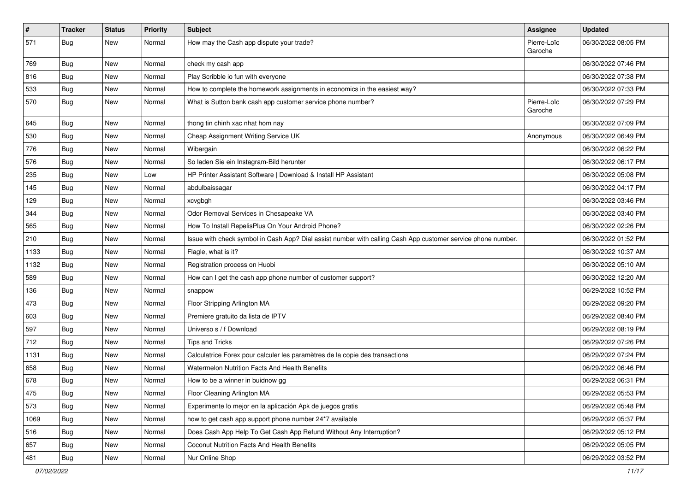| $\sharp$ | <b>Tracker</b> | <b>Status</b> | <b>Priority</b> | Subject                                                                                                      | Assignee               | <b>Updated</b>      |
|----------|----------------|---------------|-----------------|--------------------------------------------------------------------------------------------------------------|------------------------|---------------------|
| 571      | <b>Bug</b>     | New           | Normal          | How may the Cash app dispute your trade?                                                                     | Pierre-Loïc<br>Garoche | 06/30/2022 08:05 PM |
| 769      | Bug            | New           | Normal          | check my cash app                                                                                            |                        | 06/30/2022 07:46 PM |
| 816      | Bug            | New           | Normal          | Play Scribble io fun with everyone                                                                           |                        | 06/30/2022 07:38 PM |
| 533      | Bug            | New           | Normal          | How to complete the homework assignments in economics in the easiest way?                                    |                        | 06/30/2022 07:33 PM |
| 570      | <b>Bug</b>     | New           | Normal          | What is Sutton bank cash app customer service phone number?                                                  | Pierre-Loïc<br>Garoche | 06/30/2022 07:29 PM |
| 645      | <b>Bug</b>     | New           | Normal          | thong tin chinh xac nhat hom nay                                                                             |                        | 06/30/2022 07:09 PM |
| 530      | <b>Bug</b>     | New           | Normal          | Cheap Assignment Writing Service UK                                                                          | Anonymous              | 06/30/2022 06:49 PM |
| 776      | Bug            | <b>New</b>    | Normal          | Wibargain                                                                                                    |                        | 06/30/2022 06:22 PM |
| 576      | <b>Bug</b>     | New           | Normal          | So laden Sie ein Instagram-Bild herunter                                                                     |                        | 06/30/2022 06:17 PM |
| 235      | <b>Bug</b>     | New           | Low             | HP Printer Assistant Software   Download & Install HP Assistant                                              |                        | 06/30/2022 05:08 PM |
| 145      | <b>Bug</b>     | New           | Normal          | abdulbaissagar                                                                                               |                        | 06/30/2022 04:17 PM |
| 129      | <b>Bug</b>     | New           | Normal          | xcvgbgh                                                                                                      |                        | 06/30/2022 03:46 PM |
| 344      | Bug            | <b>New</b>    | Normal          | Odor Removal Services in Chesapeake VA                                                                       |                        | 06/30/2022 03:40 PM |
| 565      | Bug            | New           | Normal          | How To Install RepelisPlus On Your Android Phone?                                                            |                        | 06/30/2022 02:26 PM |
| 210      | <b>Bug</b>     | New           | Normal          | Issue with check symbol in Cash App? Dial assist number with calling Cash App customer service phone number. |                        | 06/30/2022 01:52 PM |
| 1133     | Bug            | New           | Normal          | Flagle, what is it?                                                                                          |                        | 06/30/2022 10:37 AM |
| 1132     | Bug            | New           | Normal          | Registration process on Huobi                                                                                |                        | 06/30/2022 05:10 AM |
| 589      | Bug            | New           | Normal          | How can I get the cash app phone number of customer support?                                                 |                        | 06/30/2022 12:20 AM |
| 136      | <b>Bug</b>     | New           | Normal          | snappow                                                                                                      |                        | 06/29/2022 10:52 PM |
| 473      | <b>Bug</b>     | New           | Normal          | Floor Stripping Arlington MA                                                                                 |                        | 06/29/2022 09:20 PM |
| 603      | Bug            | New           | Normal          | Premiere gratuito da lista de IPTV                                                                           |                        | 06/29/2022 08:40 PM |
| 597      | Bug            | New           | Normal          | Universo s / f Download                                                                                      |                        | 06/29/2022 08:19 PM |
| 712      | Bug            | New           | Normal          | Tips and Tricks                                                                                              |                        | 06/29/2022 07:26 PM |
| 1131     | <b>Bug</b>     | New           | Normal          | Calculatrice Forex pour calculer les paramètres de la copie des transactions                                 |                        | 06/29/2022 07:24 PM |
| 658      | <b>Bug</b>     | New           | Normal          | Watermelon Nutrition Facts And Health Benefits                                                               |                        | 06/29/2022 06:46 PM |
| 678      | Bug            | New           | Normal          | How to be a winner in buidnow gg                                                                             |                        | 06/29/2022 06:31 PM |
| 475      | Bug            | New           | Normal          | Floor Cleaning Arlington MA                                                                                  |                        | 06/29/2022 05:53 PM |
| 573      | Bug            | New           | Normal          | Experimente lo mejor en la aplicación Apk de juegos gratis                                                   |                        | 06/29/2022 05:48 PM |
| 1069     | Bug            | New           | Normal          | how to get cash app support phone number 24*7 available                                                      |                        | 06/29/2022 05:37 PM |
| 516      | <b>Bug</b>     | New           | Normal          | Does Cash App Help To Get Cash App Refund Without Any Interruption?                                          |                        | 06/29/2022 05:12 PM |
| 657      | <b>Bug</b>     | New           | Normal          | Coconut Nutrition Facts And Health Benefits                                                                  |                        | 06/29/2022 05:05 PM |
| 481      | <b>Bug</b>     | New           | Normal          | Nur Online Shop                                                                                              |                        | 06/29/2022 03:52 PM |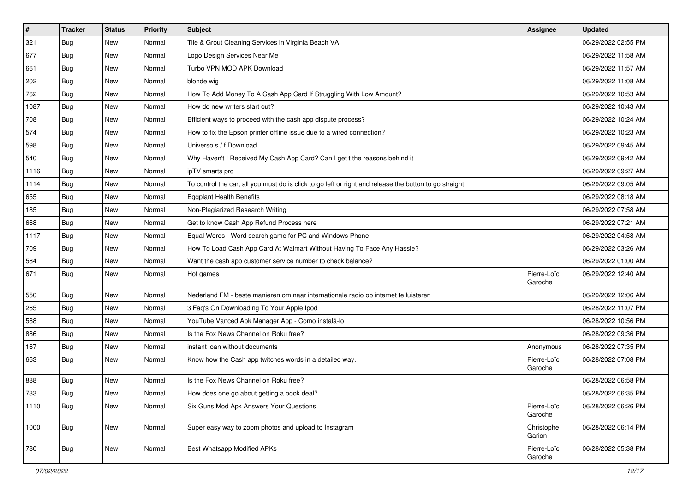| $\sharp$ | <b>Tracker</b> | <b>Status</b> | Priority | Subject                                                                                                 | <b>Assignee</b>        | <b>Updated</b>      |
|----------|----------------|---------------|----------|---------------------------------------------------------------------------------------------------------|------------------------|---------------------|
| 321      | <b>Bug</b>     | New           | Normal   | Tile & Grout Cleaning Services in Virginia Beach VA                                                     |                        | 06/29/2022 02:55 PM |
| 677      | Bug            | <b>New</b>    | Normal   | Logo Design Services Near Me                                                                            |                        | 06/29/2022 11:58 AM |
| 661      | <b>Bug</b>     | New           | Normal   | Turbo VPN MOD APK Download                                                                              |                        | 06/29/2022 11:57 AM |
| 202      | <b>Bug</b>     | New           | Normal   | blonde wig                                                                                              |                        | 06/29/2022 11:08 AM |
| 762      | <b>Bug</b>     | New           | Normal   | How To Add Money To A Cash App Card If Struggling With Low Amount?                                      |                        | 06/29/2022 10:53 AM |
| 1087     | <b>Bug</b>     | New           | Normal   | How do new writers start out?                                                                           |                        | 06/29/2022 10:43 AM |
| 708      | <b>Bug</b>     | <b>New</b>    | Normal   | Efficient ways to proceed with the cash app dispute process?                                            |                        | 06/29/2022 10:24 AM |
| 574      | <b>Bug</b>     | New           | Normal   | How to fix the Epson printer offline issue due to a wired connection?                                   |                        | 06/29/2022 10:23 AM |
| 598      | <b>Bug</b>     | New           | Normal   | Universo s / f Download                                                                                 |                        | 06/29/2022 09:45 AM |
| 540      | Bug            | <b>New</b>    | Normal   | Why Haven't I Received My Cash App Card? Can I get t the reasons behind it                              |                        | 06/29/2022 09:42 AM |
| 1116     | <b>Bug</b>     | New           | Normal   | ipTV smarts pro                                                                                         |                        | 06/29/2022 09:27 AM |
| 1114     | <b>Bug</b>     | New           | Normal   | To control the car, all you must do is click to go left or right and release the button to go straight. |                        | 06/29/2022 09:05 AM |
| 655      | Bug            | New           | Normal   | <b>Eggplant Health Benefits</b>                                                                         |                        | 06/29/2022 08:18 AM |
| 185      | <b>Bug</b>     | New           | Normal   | Non-Plagiarized Research Writing                                                                        |                        | 06/29/2022 07:58 AM |
| 668      | <b>Bug</b>     | <b>New</b>    | Normal   | Get to know Cash App Refund Process here                                                                |                        | 06/29/2022 07:21 AM |
| 1117     | <b>Bug</b>     | New           | Normal   | Equal Words - Word search game for PC and Windows Phone                                                 |                        | 06/29/2022 04:58 AM |
| 709      | Bug            | New           | Normal   | How To Load Cash App Card At Walmart Without Having To Face Any Hassle?                                 |                        | 06/29/2022 03:26 AM |
| 584      | <b>Bug</b>     | New           | Normal   | Want the cash app customer service number to check balance?                                             |                        | 06/29/2022 01:00 AM |
| 671      | <b>Bug</b>     | New           | Normal   | Hot games                                                                                               | Pierre-Loïc<br>Garoche | 06/29/2022 12:40 AM |
| 550      | <b>Bug</b>     | New           | Normal   | Nederland FM - beste manieren om naar internationale radio op internet te luisteren                     |                        | 06/29/2022 12:06 AM |
| 265      | <b>Bug</b>     | New           | Normal   | 3 Faq's On Downloading To Your Apple Ipod                                                               |                        | 06/28/2022 11:07 PM |
| 588      | <b>Bug</b>     | New           | Normal   | YouTube Vanced Apk Manager App - Como instalá-lo                                                        |                        | 06/28/2022 10:56 PM |
| 886      | <b>Bug</b>     | New           | Normal   | Is the Fox News Channel on Roku free?                                                                   |                        | 06/28/2022 09:36 PM |
| 167      | <b>Bug</b>     | New           | Normal   | instant loan without documents                                                                          | Anonymous              | 06/28/2022 07:35 PM |
| 663      | <b>Bug</b>     | New           | Normal   | Know how the Cash app twitches words in a detailed way.                                                 | Pierre-Loïc<br>Garoche | 06/28/2022 07:08 PM |
| 888      | <b>Bug</b>     | <b>New</b>    | Normal   | Is the Fox News Channel on Roku free?                                                                   |                        | 06/28/2022 06:58 PM |
| 733      | <b>Bug</b>     | New           | Normal   | How does one go about getting a book deal?                                                              |                        | 06/28/2022 06:35 PM |
| 1110     | <b>Bug</b>     | New           | Normal   | Six Guns Mod Apk Answers Your Questions                                                                 | Pierre-Loïc<br>Garoche | 06/28/2022 06:26 PM |
| 1000     | <b>Bug</b>     | New           | Normal   | Super easy way to zoom photos and upload to Instagram                                                   | Christophe<br>Garion   | 06/28/2022 06:14 PM |
| 780      | Bug            | New           | Normal   | <b>Best Whatsapp Modified APKs</b>                                                                      | Pierre-Loïc<br>Garoche | 06/28/2022 05:38 PM |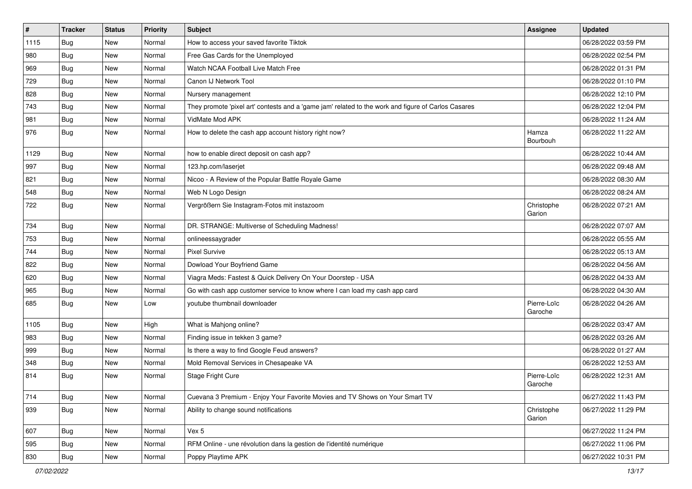| $\vert$ # | <b>Tracker</b> | <b>Status</b> | <b>Priority</b> | <b>Subject</b>                                                                                      | <b>Assignee</b>        | <b>Updated</b>      |
|-----------|----------------|---------------|-----------------|-----------------------------------------------------------------------------------------------------|------------------------|---------------------|
| 1115      | <b>Bug</b>     | New           | Normal          | How to access your saved favorite Tiktok                                                            |                        | 06/28/2022 03:59 PM |
| 980       | Bug            | New           | Normal          | Free Gas Cards for the Unemployed                                                                   |                        | 06/28/2022 02:54 PM |
| 969       | Bug            | New           | Normal          | Watch NCAA Football Live Match Free                                                                 |                        | 06/28/2022 01:31 PM |
| 729       | <b>Bug</b>     | New           | Normal          | Canon IJ Network Tool                                                                               |                        | 06/28/2022 01:10 PM |
| 828       | <b>Bug</b>     | <b>New</b>    | Normal          | Nursery management                                                                                  |                        | 06/28/2022 12:10 PM |
| 743       | Bug            | New           | Normal          | They promote 'pixel art' contests and a 'game jam' related to the work and figure of Carlos Casares |                        | 06/28/2022 12:04 PM |
| 981       | Bug            | New           | Normal          | VidMate Mod APK                                                                                     |                        | 06/28/2022 11:24 AM |
| 976       | Bug            | New           | Normal          | How to delete the cash app account history right now?                                               | Hamza<br>Bourbouh      | 06/28/2022 11:22 AM |
| 1129      | Bug            | <b>New</b>    | Normal          | how to enable direct deposit on cash app?                                                           |                        | 06/28/2022 10:44 AM |
| 997       | Bug            | New           | Normal          | 123.hp.com/laserjet                                                                                 |                        | 06/28/2022 09:48 AM |
| 821       | <b>Bug</b>     | New           | Normal          | Nicoo - A Review of the Popular Battle Royale Game                                                  |                        | 06/28/2022 08:30 AM |
| 548       | <b>Bug</b>     | <b>New</b>    | Normal          | Web N Logo Design                                                                                   |                        | 06/28/2022 08:24 AM |
| 722       | <b>Bug</b>     | New           | Normal          | Vergrößern Sie Instagram-Fotos mit instazoom                                                        | Christophe<br>Garion   | 06/28/2022 07:21 AM |
| 734       | Bug            | New           | Normal          | DR. STRANGE: Multiverse of Scheduling Madness!                                                      |                        | 06/28/2022 07:07 AM |
| 753       | <b>Bug</b>     | New           | Normal          | onlineessaygrader                                                                                   |                        | 06/28/2022 05:55 AM |
| 744       | Bug            | <b>New</b>    | Normal          | <b>Pixel Survive</b>                                                                                |                        | 06/28/2022 05:13 AM |
| 822       | <b>Bug</b>     | New           | Normal          | Dowload Your Boyfriend Game                                                                         |                        | 06/28/2022 04:56 AM |
| 620       | Bug            | New           | Normal          | Viagra Meds: Fastest & Quick Delivery On Your Doorstep - USA                                        |                        | 06/28/2022 04:33 AM |
| 965       | <b>Bug</b>     | <b>New</b>    | Normal          | Go with cash app customer service to know where I can load my cash app card                         |                        | 06/28/2022 04:30 AM |
| 685       | Bug            | New           | Low             | youtube thumbnail downloader                                                                        | Pierre-Loïc<br>Garoche | 06/28/2022 04:26 AM |
| 1105      | Bug            | New           | High            | What is Mahjong online?                                                                             |                        | 06/28/2022 03:47 AM |
| 983       | <b>Bug</b>     | New           | Normal          | Finding issue in tekken 3 game?                                                                     |                        | 06/28/2022 03:26 AM |
| 999       | Bug            | <b>New</b>    | Normal          | Is there a way to find Google Feud answers?                                                         |                        | 06/28/2022 01:27 AM |
| 348       | <b>Bug</b>     | New           | Normal          | Mold Removal Services in Chesapeake VA                                                              |                        | 06/28/2022 12:53 AM |
| 814       | <b>Bug</b>     | New           | Normal          | Stage Fright Cure                                                                                   | Pierre-Loïc<br>Garoche | 06/28/2022 12:31 AM |
| 714       | Bug            | New           | Normal          | Cuevana 3 Premium - Enjoy Your Favorite Movies and TV Shows on Your Smart TV                        |                        | 06/27/2022 11:43 PM |
| 939       | Bug            | New           | Normal          | Ability to change sound notifications                                                               | Christophe<br>Garion   | 06/27/2022 11:29 PM |
| 607       | Bug            | <b>New</b>    | Normal          | Vex 5                                                                                               |                        | 06/27/2022 11:24 PM |
| 595       | <b>Bug</b>     | <b>New</b>    | Normal          | RFM Online - une révolution dans la gestion de l'identité numérique                                 |                        | 06/27/2022 11:06 PM |
| 830       | <b>Bug</b>     | New           | Normal          | Poppy Playtime APK                                                                                  |                        | 06/27/2022 10:31 PM |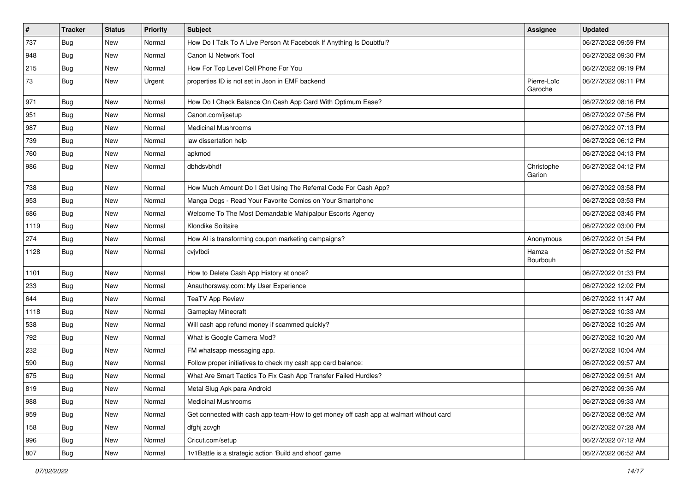| $\sharp$ | <b>Tracker</b> | <b>Status</b> | <b>Priority</b> | <b>Subject</b>                                                                         | <b>Assignee</b>        | <b>Updated</b>      |
|----------|----------------|---------------|-----------------|----------------------------------------------------------------------------------------|------------------------|---------------------|
| 737      | <b>Bug</b>     | New           | Normal          | How Do I Talk To A Live Person At Facebook If Anything Is Doubtful?                    |                        | 06/27/2022 09:59 PM |
| 948      | <b>Bug</b>     | <b>New</b>    | Normal          | Canon IJ Network Tool                                                                  |                        | 06/27/2022 09:30 PM |
| 215      | Bug            | New           | Normal          | How For Top Level Cell Phone For You                                                   |                        | 06/27/2022 09:19 PM |
| 73       | <b>Bug</b>     | New           | Urgent          | properties ID is not set in Json in EMF backend                                        | Pierre-Loïc<br>Garoche | 06/27/2022 09:11 PM |
| 971      | <b>Bug</b>     | New           | Normal          | How Do I Check Balance On Cash App Card With Optimum Ease?                             |                        | 06/27/2022 08:16 PM |
| 951      | Bug            | New           | Normal          | Canon.com/ijsetup                                                                      |                        | 06/27/2022 07:56 PM |
| 987      | Bug            | <b>New</b>    | Normal          | <b>Medicinal Mushrooms</b>                                                             |                        | 06/27/2022 07:13 PM |
| 739      | Bug            | New           | Normal          | law dissertation help                                                                  |                        | 06/27/2022 06:12 PM |
| 760      | <b>Bug</b>     | <b>New</b>    | Normal          | apkmod                                                                                 |                        | 06/27/2022 04:13 PM |
| 986      | Bug            | <b>New</b>    | Normal          | dbhdsvbhdf                                                                             | Christophe<br>Garion   | 06/27/2022 04:12 PM |
| 738      | Bug            | <b>New</b>    | Normal          | How Much Amount Do I Get Using The Referral Code For Cash App?                         |                        | 06/27/2022 03:58 PM |
| 953      | <b>Bug</b>     | New           | Normal          | Manga Dogs - Read Your Favorite Comics on Your Smartphone                              |                        | 06/27/2022 03:53 PM |
| 686      | Bug            | New           | Normal          | Welcome To The Most Demandable Mahipalpur Escorts Agency                               |                        | 06/27/2022 03:45 PM |
| 1119     | Bug            | <b>New</b>    | Normal          | Klondike Solitaire                                                                     |                        | 06/27/2022 03:00 PM |
| 274      | <b>Bug</b>     | New           | Normal          | How AI is transforming coupon marketing campaigns?                                     | Anonymous              | 06/27/2022 01:54 PM |
| 1128     | <b>Bug</b>     | New           | Normal          | cvjvfbdi                                                                               | Hamza<br>Bourbouh      | 06/27/2022 01:52 PM |
| 1101     | <b>Bug</b>     | <b>New</b>    | Normal          | How to Delete Cash App History at once?                                                |                        | 06/27/2022 01:33 PM |
| 233      | Bug            | <b>New</b>    | Normal          | Anauthorsway.com: My User Experience                                                   |                        | 06/27/2022 12:02 PM |
| 644      | <b>Bug</b>     | New           | Normal          | <b>TeaTV App Review</b>                                                                |                        | 06/27/2022 11:47 AM |
| 1118     | <b>Bug</b>     | New           | Normal          | Gameplay Minecraft                                                                     |                        | 06/27/2022 10:33 AM |
| 538      | <b>Bug</b>     | New           | Normal          | Will cash app refund money if scammed quickly?                                         |                        | 06/27/2022 10:25 AM |
| 792      | <b>Bug</b>     | <b>New</b>    | Normal          | What is Google Camera Mod?                                                             |                        | 06/27/2022 10:20 AM |
| 232      | Bug            | <b>New</b>    | Normal          | FM whatsapp messaging app.                                                             |                        | 06/27/2022 10:04 AM |
| 590      | <b>Bug</b>     | New           | Normal          | Follow proper initiatives to check my cash app card balance:                           |                        | 06/27/2022 09:57 AM |
| 675      | <b>Bug</b>     | New           | Normal          | What Are Smart Tactics To Fix Cash App Transfer Failed Hurdles?                        |                        | 06/27/2022 09:51 AM |
| 819      | Bug            | New           | Normal          | Metal Slug Apk para Android                                                            |                        | 06/27/2022 09:35 AM |
| 988      | <b>Bug</b>     | New           | Normal          | <b>Medicinal Mushrooms</b>                                                             |                        | 06/27/2022 09:33 AM |
| 959      | <b>Bug</b>     | New           | Normal          | Get connected with cash app team-How to get money off cash app at walmart without card |                        | 06/27/2022 08:52 AM |
| 158      | <b>Bug</b>     | New           | Normal          | dfghj zcvgh                                                                            |                        | 06/27/2022 07:28 AM |
| 996      | Bug            | New           | Normal          | Cricut.com/setup                                                                       |                        | 06/27/2022 07:12 AM |
| 807      | <b>Bug</b>     | New           | Normal          | 1v1Battle is a strategic action 'Build and shoot' game                                 |                        | 06/27/2022 06:52 AM |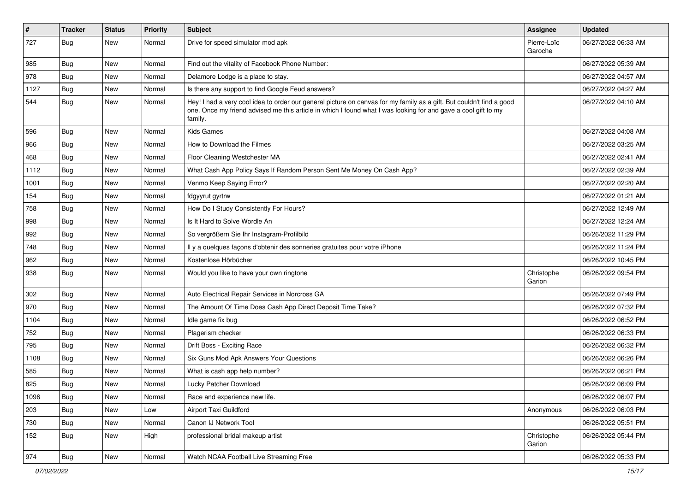| $\sharp$ | <b>Tracker</b> | <b>Status</b> | <b>Priority</b> | <b>Subject</b>                                                                                                                                                                                                                                    | Assignee               | <b>Updated</b>      |
|----------|----------------|---------------|-----------------|---------------------------------------------------------------------------------------------------------------------------------------------------------------------------------------------------------------------------------------------------|------------------------|---------------------|
| 727      | <b>Bug</b>     | New           | Normal          | Drive for speed simulator mod apk                                                                                                                                                                                                                 | Pierre-Loïc<br>Garoche | 06/27/2022 06:33 AM |
| 985      | <b>Bug</b>     | <b>New</b>    | Normal          | Find out the vitality of Facebook Phone Number:                                                                                                                                                                                                   |                        | 06/27/2022 05:39 AM |
| 978      | Bug            | New           | Normal          | Delamore Lodge is a place to stay.                                                                                                                                                                                                                |                        | 06/27/2022 04:57 AM |
| 1127     | Bug            | New           | Normal          | Is there any support to find Google Feud answers?                                                                                                                                                                                                 |                        | 06/27/2022 04:27 AM |
| 544      | <b>Bug</b>     | New           | Normal          | Hey! I had a very cool idea to order our general picture on canvas for my family as a gift. But couldn't find a good<br>one. Once my friend advised me this article in which I found what I was looking for and gave a cool gift to my<br>family. |                        | 06/27/2022 04:10 AM |
| 596      | Bug            | New           | Normal          | <b>Kids Games</b>                                                                                                                                                                                                                                 |                        | 06/27/2022 04:08 AM |
| 966      | <b>Bug</b>     | <b>New</b>    | Normal          | How to Download the Filmes                                                                                                                                                                                                                        |                        | 06/27/2022 03:25 AM |
| 468      | <b>Bug</b>     | New           | Normal          | Floor Cleaning Westchester MA                                                                                                                                                                                                                     |                        | 06/27/2022 02:41 AM |
| 1112     | Bug            | New           | Normal          | What Cash App Policy Says If Random Person Sent Me Money On Cash App?                                                                                                                                                                             |                        | 06/27/2022 02:39 AM |
| 1001     | Bug            | New           | Normal          | Venmo Keep Saying Error?                                                                                                                                                                                                                          |                        | 06/27/2022 02:20 AM |
| 154      | <b>Bug</b>     | New           | Normal          | fdgyyrut gyrtrw                                                                                                                                                                                                                                   |                        | 06/27/2022 01:21 AM |
| 758      | Bug            | <b>New</b>    | Normal          | How Do I Study Consistently For Hours?                                                                                                                                                                                                            |                        | 06/27/2022 12:49 AM |
| 998      | <b>Bug</b>     | New           | Normal          | Is It Hard to Solve Wordle An                                                                                                                                                                                                                     |                        | 06/27/2022 12:24 AM |
| 992      | <b>Bug</b>     | <b>New</b>    | Normal          | So vergrößern Sie Ihr Instagram-Profilbild                                                                                                                                                                                                        |                        | 06/26/2022 11:29 PM |
| 748      | Bug            | <b>New</b>    | Normal          | Il y a quelques façons d'obtenir des sonneries gratuites pour votre iPhone                                                                                                                                                                        |                        | 06/26/2022 11:24 PM |
| 962      | <b>Bug</b>     | New           | Normal          | Kostenlose Hörbücher                                                                                                                                                                                                                              |                        | 06/26/2022 10:45 PM |
| 938      | <b>Bug</b>     | New           | Normal          | Would you like to have your own ringtone                                                                                                                                                                                                          | Christophe<br>Garion   | 06/26/2022 09:54 PM |
| 302      | Bug            | New           | Normal          | Auto Electrical Repair Services in Norcross GA                                                                                                                                                                                                    |                        | 06/26/2022 07:49 PM |
| 970      | Bug            | <b>New</b>    | Normal          | The Amount Of Time Does Cash App Direct Deposit Time Take?                                                                                                                                                                                        |                        | 06/26/2022 07:32 PM |
| 1104     | <b>Bug</b>     | New           | Normal          | Idle game fix bug                                                                                                                                                                                                                                 |                        | 06/26/2022 06:52 PM |
| 752      | <b>Bug</b>     | <b>New</b>    | Normal          | Plagerism checker                                                                                                                                                                                                                                 |                        | 06/26/2022 06:33 PM |
| 795      | Bug            | New           | Normal          | Drift Boss - Exciting Race                                                                                                                                                                                                                        |                        | 06/26/2022 06:32 PM |
| 1108     | <b>Bug</b>     | New           | Normal          | Six Guns Mod Apk Answers Your Questions                                                                                                                                                                                                           |                        | 06/26/2022 06:26 PM |
| 585      | <b>Bug</b>     | New           | Normal          | What is cash app help number?                                                                                                                                                                                                                     |                        | 06/26/2022 06:21 PM |
| 825      | <b>Bug</b>     | New           | Normal          | Lucky Patcher Download                                                                                                                                                                                                                            |                        | 06/26/2022 06:09 PM |
| 1096     | <b>Bug</b>     | New           | Normal          | Race and experience new life.                                                                                                                                                                                                                     |                        | 06/26/2022 06:07 PM |
| 203      | Bug            | New           | Low             | Airport Taxi Guildford                                                                                                                                                                                                                            | Anonymous              | 06/26/2022 06:03 PM |
| 730      | Bug            | New           | Normal          | Canon IJ Network Tool                                                                                                                                                                                                                             |                        | 06/26/2022 05:51 PM |
| 152      | <b>Bug</b>     | New           | High            | professional bridal makeup artist                                                                                                                                                                                                                 | Christophe<br>Garion   | 06/26/2022 05:44 PM |
| 974      | Bug            | New           | Normal          | Watch NCAA Football Live Streaming Free                                                                                                                                                                                                           |                        | 06/26/2022 05:33 PM |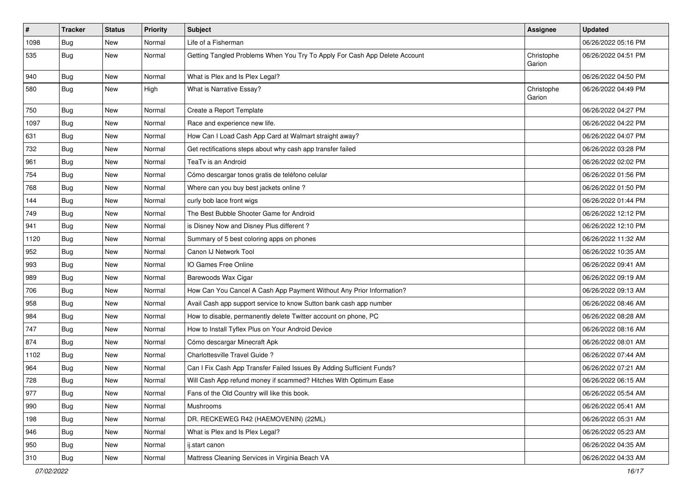| $\vert$ #     | <b>Tracker</b> | <b>Status</b> | Priority | Subject                                                                    | <b>Assignee</b>      | <b>Updated</b>      |
|---------------|----------------|---------------|----------|----------------------------------------------------------------------------|----------------------|---------------------|
| 1098          | Bug            | New           | Normal   | Life of a Fisherman                                                        |                      | 06/26/2022 05:16 PM |
| 535           | <b>Bug</b>     | New           | Normal   | Getting Tangled Problems When You Try To Apply For Cash App Delete Account | Christophe<br>Garion | 06/26/2022 04:51 PM |
| $ 940\rangle$ | Bug            | <b>New</b>    | Normal   | What is Plex and Is Plex Legal?                                            |                      | 06/26/2022 04:50 PM |
| 580           | Bug            | New           | High     | What is Narrative Essay?                                                   | Christophe<br>Garion | 06/26/2022 04:49 PM |
| 750           | <b>Bug</b>     | New           | Normal   | Create a Report Template                                                   |                      | 06/26/2022 04:27 PM |
| 1097          | Bug            | <b>New</b>    | Normal   | Race and experience new life.                                              |                      | 06/26/2022 04:22 PM |
| 631           | <b>Bug</b>     | New           | Normal   | How Can I Load Cash App Card at Walmart straight away?                     |                      | 06/26/2022 04:07 PM |
| 732           | Bug            | New           | Normal   | Get rectifications steps about why cash app transfer failed                |                      | 06/26/2022 03:28 PM |
| 961           | <b>Bug</b>     | <b>New</b>    | Normal   | TeaTv is an Android                                                        |                      | 06/26/2022 02:02 PM |
| 754           | Bug            | New           | Normal   | Cómo descargar tonos gratis de teléfono celular                            |                      | 06/26/2022 01:56 PM |
| 768           | Bug            | <b>New</b>    | Normal   | Where can you buy best jackets online?                                     |                      | 06/26/2022 01:50 PM |
| 144           | Bug            | New           | Normal   | curly bob lace front wigs                                                  |                      | 06/26/2022 01:44 PM |
| 749           | <b>Bug</b>     | New           | Normal   | The Best Bubble Shooter Game for Android                                   |                      | 06/26/2022 12:12 PM |
| 941           | Bug            | <b>New</b>    | Normal   | is Disney Now and Disney Plus different?                                   |                      | 06/26/2022 12:10 PM |
| 1120          | <b>Bug</b>     | New           | Normal   | Summary of 5 best coloring apps on phones                                  |                      | 06/26/2022 11:32 AM |
| 952           | <b>Bug</b>     | New           | Normal   | Canon IJ Network Tool                                                      |                      | 06/26/2022 10:35 AM |
| 993           | Bug            | New           | Normal   | IO Games Free Online                                                       |                      | 06/26/2022 09:41 AM |
| 989           | <b>Bug</b>     | New           | Normal   | Barewoods Wax Cigar                                                        |                      | 06/26/2022 09:19 AM |
| 706           | Bug            | <b>New</b>    | Normal   | How Can You Cancel A Cash App Payment Without Any Prior Information?       |                      | 06/26/2022 09:13 AM |
| 958           | Bug            | New           | Normal   | Avail Cash app support service to know Sutton bank cash app number         |                      | 06/26/2022 08:46 AM |
| 984           | <b>Bug</b>     | New           | Normal   | How to disable, permanently delete Twitter account on phone, PC            |                      | 06/26/2022 08:28 AM |
| 747           | <b>Bug</b>     | New           | Normal   | How to Install Tyflex Plus on Your Android Device                          |                      | 06/26/2022 08:16 AM |
| 874           | <b>Bug</b>     | New           | Normal   | Cómo descargar Minecraft Apk                                               |                      | 06/26/2022 08:01 AM |
| 1102          | <b>Bug</b>     | <b>New</b>    | Normal   | Charlottesville Travel Guide?                                              |                      | 06/26/2022 07:44 AM |
| 964           | <b>Bug</b>     | New           | Normal   | Can I Fix Cash App Transfer Failed Issues By Adding Sufficient Funds?      |                      | 06/26/2022 07:21 AM |
| 728           | <b>Bug</b>     | New           | Normal   | Will Cash App refund money if scammed? Hitches With Optimum Ease           |                      | 06/26/2022 06:15 AM |
| 977           | Bug            | New           | Normal   | Fans of the Old Country will like this book.                               |                      | 06/26/2022 05:54 AM |
| 990           | Bug            | <b>New</b>    | Normal   | Mushrooms                                                                  |                      | 06/26/2022 05:41 AM |
| 198           | <b>Bug</b>     | New           | Normal   | DR. RECKEWEG R42 (HAEMOVENIN) (22ML)                                       |                      | 06/26/2022 05:31 AM |
| 946           | <b>Bug</b>     | New           | Normal   | What is Plex and Is Plex Legal?                                            |                      | 06/26/2022 05:23 AM |
| 950           | <b>Bug</b>     | New           | Normal   | ij.start canon                                                             |                      | 06/26/2022 04:35 AM |
| 310           | <b>Bug</b>     | New           | Normal   | Mattress Cleaning Services in Virginia Beach VA                            |                      | 06/26/2022 04:33 AM |